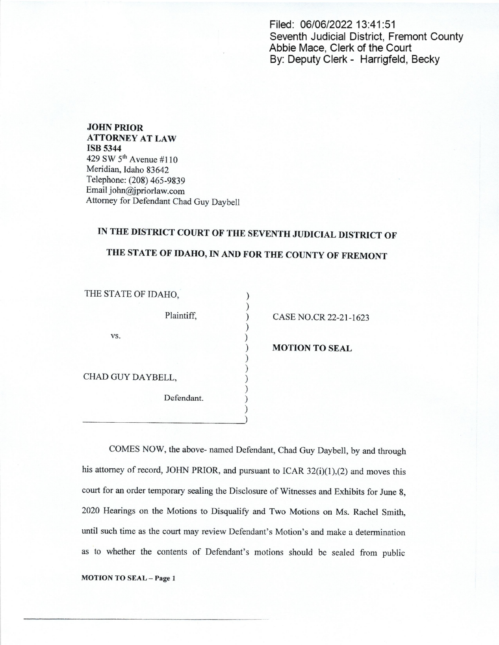Filed: 06/06/2022 13:41:51 Seventh Judicial District, Fremont County Abbie Mace, Clerk of the Court By: Deputy Clerk - Harrigfeld, Becky

JOHN PRIOR ATTORNEY AT LAW ISB 5344 429 SW 5'" Avenue #1 10 Meridian, Idaho 83642 Telephone: (208) 465-9839 Email john@jpriorlaw.com Attorney for Defendant Chad Guy Daybell

## IN THE DISTRICT COURT OF THE SEVENTH JUDICIAL DISTRICT OF

## THE STATE OF IDAHO, IN AND FOR THE COUNTY OF FREMONT

 $\mathcal{E}$  $\mathcal{C}$ 

 $\mathcal{E}$ 

 $\mathcal{E}$ 

| THE STATE OF IDAHU. |            |  |
|---------------------|------------|--|
|                     | Plaintiff, |  |
| VS.                 |            |  |
|                     |            |  |
| CHAD GUY DAYBELL,   |            |  |
|                     | Defendant. |  |
|                     |            |  |

THE STATE OF IDAHO,

) CASE NO.CR 22-21-1623

**MOTION TO SEAL** 

COMES NOW, the above- named Defendant, Chad Guy Daybell, by and through his attorney of record, JOHN PRIOR, and pursuant to ICAR 32(i)(1),(2) and moves this court for an order temporary sealing the Disclosure of Witnesses and Exhibits for June 8, <sup>2020</sup> Hearings on the Motions to Disqualify and Two Motions on Ms. Rachel Smith, until such time as the court may review Defendant's Motion's and make a determination as to whether the contents of Defendant's motions should be sealed from public

MOTION TO SEAL - Page 1